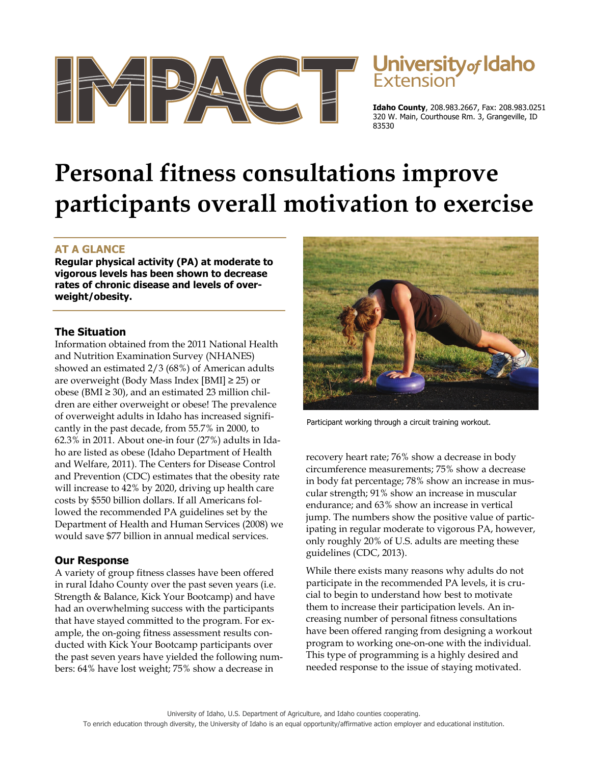

# University of Idaho

**Idaho County**, 208.983.2667, Fax: 208.983.0251 320 W. Main, Courthouse Rm. 3, Grangeville, ID 83530

# **Personal fitness consultations improve participants overall motivation to exercise**

## **AT A GLANCE**

**Regular physical activity (PA) at moderate to vigorous levels has been shown to decrease rates of chronic disease and levels of overweight/obesity.** 

### **The Situation**

Information obtained from the 2011 National Health and Nutrition Examination Survey (NHANES) showed an estimated 2/3 (68%) of American adults are overweight (Body Mass Index [BMI]  $\geq$  25) or obese (BMI $\geq$  30), and an estimated 23 million children are either overweight or obese! The prevalence of overweight adults in Idaho has increased significantly in the past decade, from 55.7% in 2000, to 62.3% in 2011. About one-in four (27%) adults in Idaho are listed as obese (Idaho Department of Health and Welfare, 2011). The Centers for Disease Control and Prevention (CDC) estimates that the obesity rate will increase to 42% by 2020, driving up health care costs by \$550 billion dollars. If all Americans followed the recommended PA guidelines set by the Department of Health and Human Services (2008) we would save \$77 billion in annual medical services.

#### **Our Response**

A variety of group fitness classes have been offered in rural Idaho County over the past seven years (i.e. Strength & Balance, Kick Your Bootcamp) and have had an overwhelming success with the participants that have stayed committed to the program. For example, the on-going fitness assessment results conducted with Kick Your Bootcamp participants over the past seven years have yielded the following numbers: 64% have lost weight; 75% show a decrease in



Participant working through a circuit training workout.

recovery heart rate; 76% show a decrease in body circumference measurements; 75% show a decrease in body fat percentage; 78% show an increase in muscular strength; 91% show an increase in muscular endurance; and 63% show an increase in vertical jump. The numbers show the positive value of participating in regular moderate to vigorous PA, however, only roughly 20% of U.S. adults are meeting these guidelines (CDC, 2013).

While there exists many reasons why adults do not participate in the recommended PA levels, it is crucial to begin to understand how best to motivate them to increase their participation levels. An increasing number of personal fitness consultations have been offered ranging from designing a workout program to working one-on-one with the individual. This type of programming is a highly desired and needed response to the issue of staying motivated.